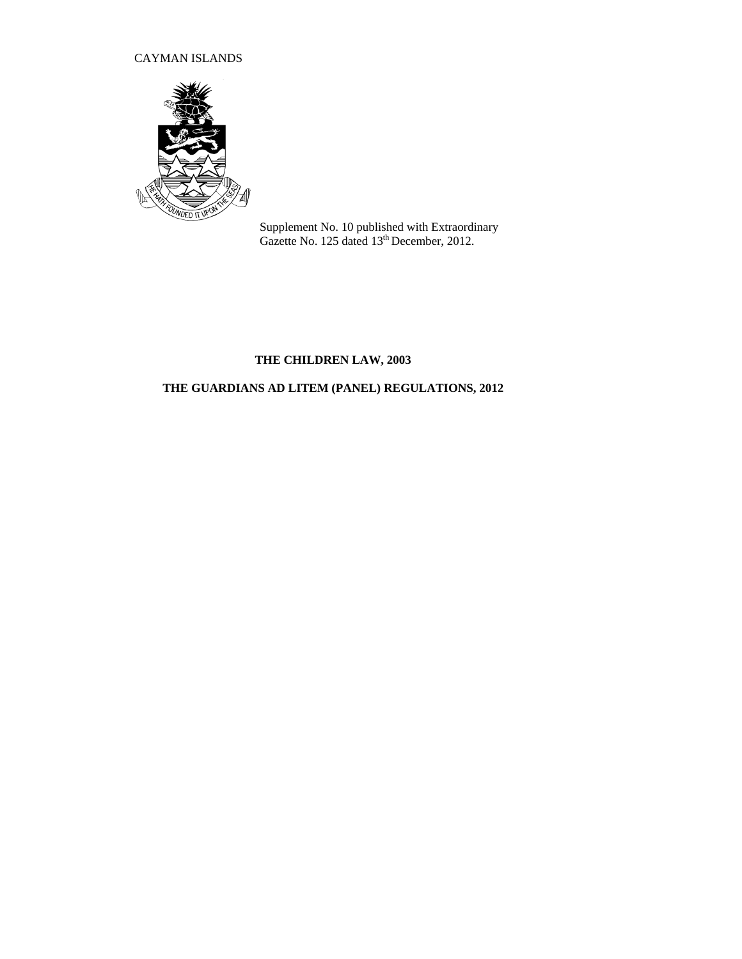# CAYMAN ISLANDS



Supplement No. 10 published with Extraordinary Gazette No. 125 dated 13<sup>th</sup> December, 2012.

# **THE CHILDREN LAW, 2003**

# **THE GUARDIANS AD LITEM (PANEL) REGULATIONS, 2012**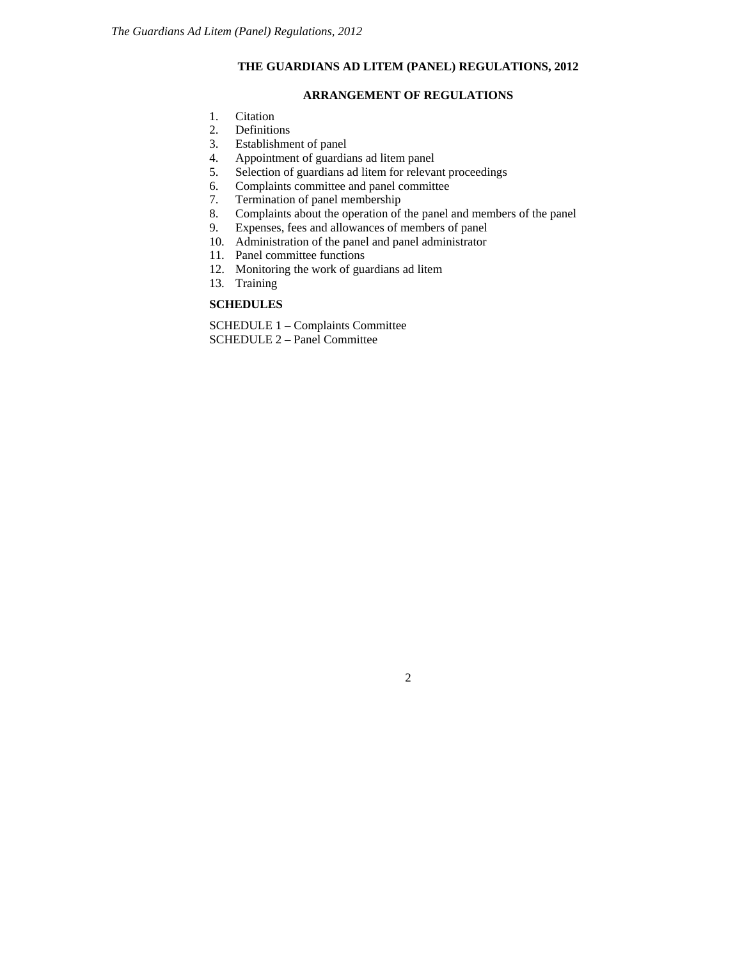# **THE GUARDIANS AD LITEM (PANEL) REGULATIONS, 2012**

### **ARRANGEMENT OF REGULATIONS**

- 1. Citation
- 2. Definitions
- 3. Establishment of panel
- 4. Appointment of guardians ad litem panel<br>5. Selection of guardians ad litem for relevan
- Selection of guardians ad litem for relevant proceedings
- 6. Complaints committee and panel committee<br>7. Termination of panel membership
- Termination of panel membership
- 8. Complaints about the operation of the panel and members of the panel
- 9. Expenses, fees and allowances of members of panel
- 10. Administration of the panel and panel administrator
- 11. Panel committee functions
- 12. Monitoring the work of guardians ad litem
- 13. Training

#### **SCHEDULES**

SCHEDULE 1 – Complaints Committee SCHEDULE 2 – Panel Committee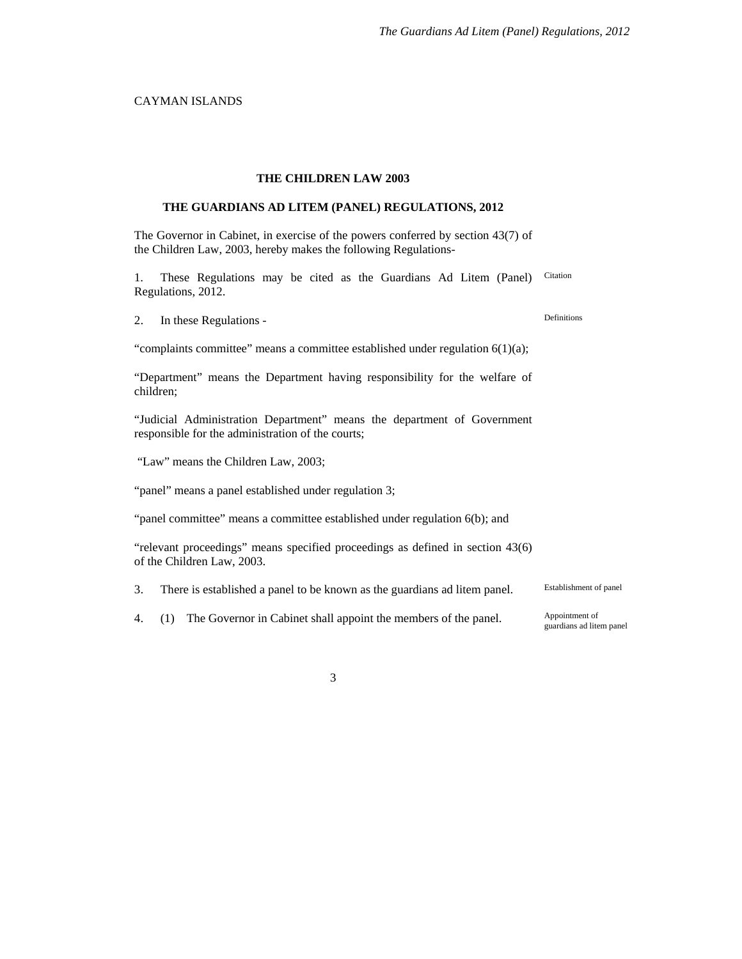## CAYMAN ISLANDS

#### **THE CHILDREN LAW 2003**

#### **THE GUARDIANS AD LITEM (PANEL) REGULATIONS, 2012**

The Governor in Cabinet, in exercise of the powers conferred by section 43(7) of the Children Law, 2003, hereby makes the following Regulations-

1. These Regulations may be cited as the Guardians Ad Litem (Panel) Regulations, 2012. Citation

2. In these Regulations - Definitions

"complaints committee" means a committee established under regulation 6(1)(a);

"Department" means the Department having responsibility for the welfare of children;

"Judicial Administration Department" means the department of Government responsible for the administration of the courts;

"Law" means the Children Law, 2003;

"panel" means a panel established under regulation 3;

"panel committee" means a committee established under regulation 6(b); and

"relevant proceedings" means specified proceedings as defined in section 43(6) of the Children Law, 2003.

3. There is established a panel to be known as the guardians ad litem panel. Establishment of panel

4. (1) The Governor in Cabinet shall appoint the members of the panel. Appointment of

guardians ad litem panel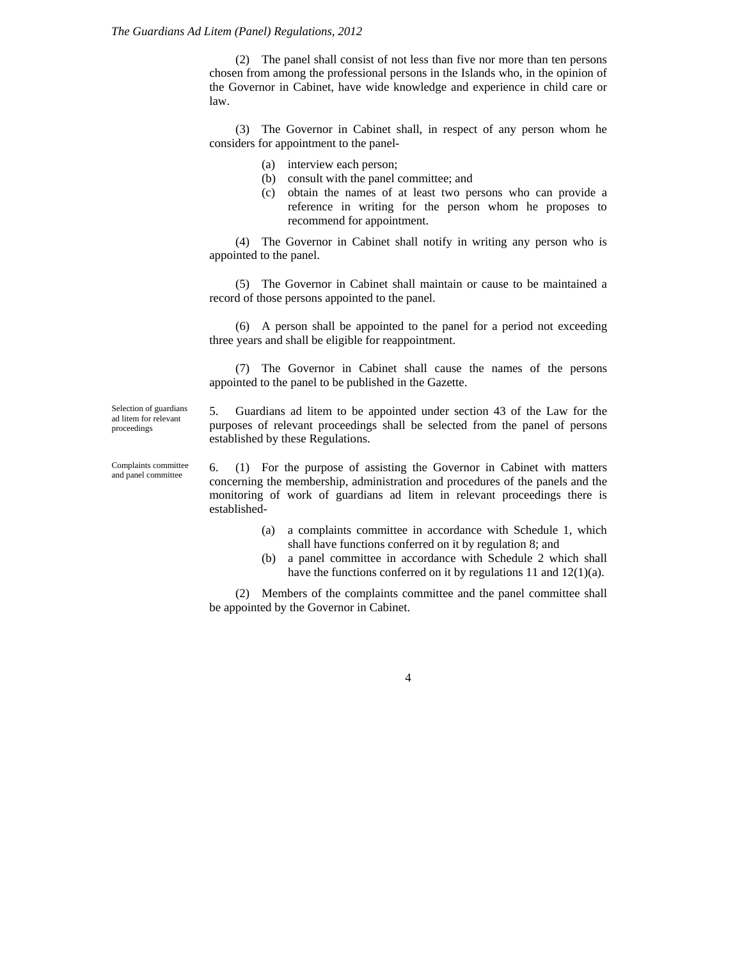(2) The panel shall consist of not less than five nor more than ten persons chosen from among the professional persons in the Islands who, in the opinion of the Governor in Cabinet, have wide knowledge and experience in child care or law.

(3) The Governor in Cabinet shall, in respect of any person whom he considers for appointment to the panel-

- (a) interview each person;
- (b) consult with the panel committee; and
- (c) obtain the names of at least two persons who can provide a reference in writing for the person whom he proposes to recommend for appointment.

(4) The Governor in Cabinet shall notify in writing any person who is appointed to the panel.

(5) The Governor in Cabinet shall maintain or cause to be maintained a record of those persons appointed to the panel.

(6) A person shall be appointed to the panel for a period not exceeding three years and shall be eligible for reappointment.

(7) The Governor in Cabinet shall cause the names of the persons appointed to the panel to be published in the Gazette.

Selection of guardians ad litem for relevant proceedings

5. Guardians ad litem to be appointed under section 43 of the Law for the purposes of relevant proceedings shall be selected from the panel of persons established by these Regulations.

Complaints committee and panel committee

6. (1) For the purpose of assisting the Governor in Cabinet with matters concerning the membership, administration and procedures of the panels and the monitoring of work of guardians ad litem in relevant proceedings there is established-

- (a) a complaints committee in accordance with Schedule 1, which shall have functions conferred on it by regulation 8; and
- (b) a panel committee in accordance with Schedule 2 which shall have the functions conferred on it by regulations 11 and 12(1)(a).

(2) Members of the complaints committee and the panel committee shall be appointed by the Governor in Cabinet.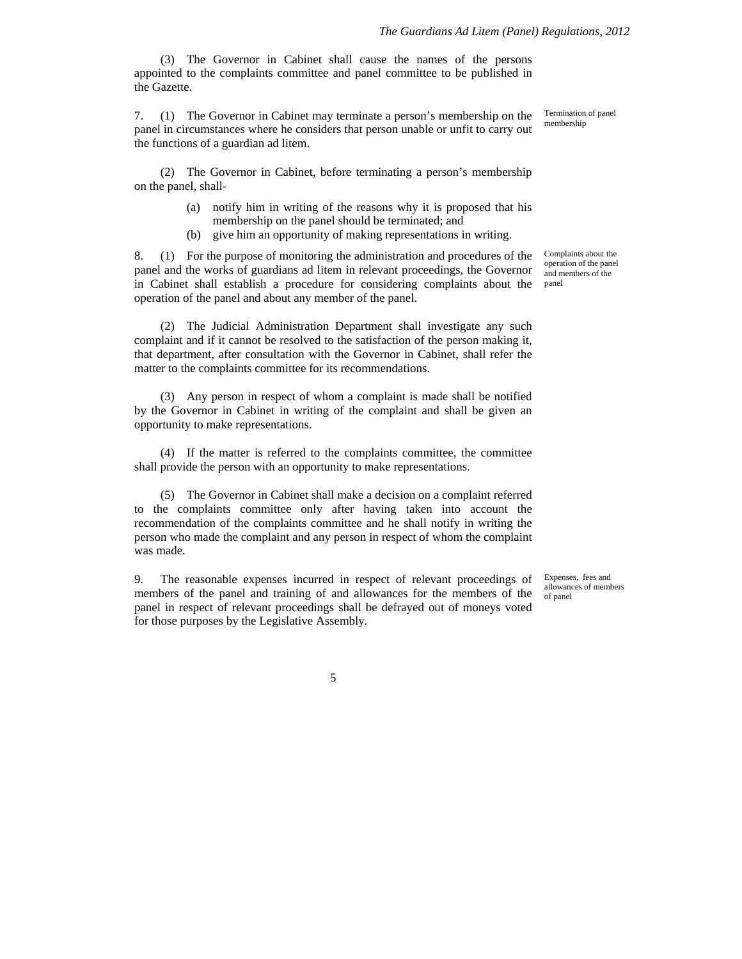(3) The Governor in Cabinet shall cause the names of the persons appointed to the complaints committee and panel committee to be published in the Gazette.

7. (1) The Governor in Cabinet may terminate a person's membership on the panel in circumstances where he considers that person unable or unfit to carry out the functions of a guardian ad litem.

(2) The Governor in Cabinet, before terminating a person's membership on the panel, shall-

- (a) notify him in writing of the reasons why it is proposed that his membership on the panel should be terminated; and
- (b) give him an opportunity of making representations in writing.

8. (1) For the purpose of monitoring the administration and procedures of the panel and the works of guardians ad litem in relevant proceedings, the Governor in Cabinet shall establish a procedure for considering complaints about the operation of the panel and about any member of the panel.

(2) The Judicial Administration Department shall investigate any such complaint and if it cannot be resolved to the satisfaction of the person making it, that department, after consultation with the Governor in Cabinet, shall refer the matter to the complaints committee for its recommendations.

(3) Any person in respect of whom a complaint is made shall be notified by the Governor in Cabinet in writing of the complaint and shall be given an opportunity to make representations.

(4) If the matter is referred to the complaints committee, the committee shall provide the person with an opportunity to make representations.

(5) The Governor in Cabinet shall make a decision on a complaint referred to the complaints committee only after having taken into account the recommendation of the complaints committee and he shall notify in writing the person who made the complaint and any person in respect of whom the complaint was made.

9. The reasonable expenses incurred in respect of relevant proceedings of members of the panel and training of and allowances for the members of the panel in respect of relevant proceedings shall be defrayed out of moneys voted for those purposes by the Legislative Assembly.

Complaints about the operation of the panel and members of the panel

Termination of panel membership

Expenses, fees and allowances of members of panel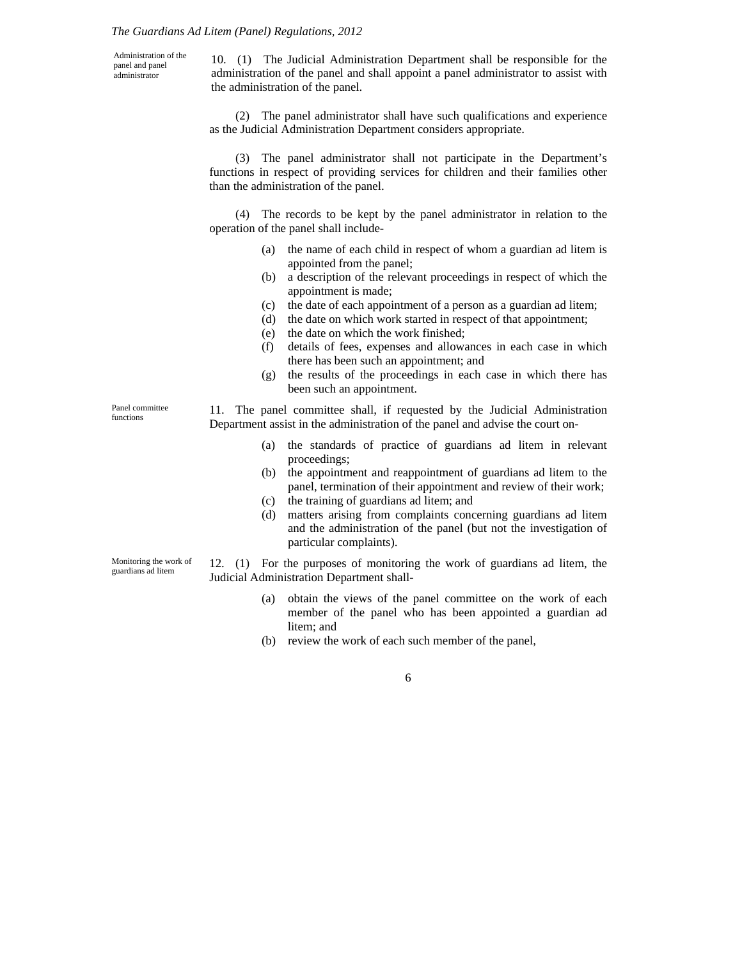#### *The Guardians Ad Litem (Panel) Regulations, 2012*

Administration of the panel and panel administrator

10. (1) The Judicial Administration Department shall be responsible for the administration of the panel and shall appoint a panel administrator to assist with the administration of the panel.

(2) The panel administrator shall have such qualifications and experience as the Judicial Administration Department considers appropriate.

(3) The panel administrator shall not participate in the Department's functions in respect of providing services for children and their families other than the administration of the panel.

(4) The records to be kept by the panel administrator in relation to the operation of the panel shall include-

- (a) the name of each child in respect of whom a guardian ad litem is appointed from the panel;
- (b) a description of the relevant proceedings in respect of which the appointment is made;
- (c) the date of each appointment of a person as a guardian ad litem;
- (d) the date on which work started in respect of that appointment;
- (e) the date on which the work finished;
- (f) details of fees, expenses and allowances in each case in which there has been such an appointment; and
- (g) the results of the proceedings in each case in which there has been such an appointment.

11. The panel committee shall, if requested by the Judicial Administration Department assist in the administration of the panel and advise the court on-

- (a) the standards of practice of guardians ad litem in relevant proceedings;
- (b) the appointment and reappointment of guardians ad litem to the panel, termination of their appointment and review of their work;
- (c) the training of guardians ad litem; and
- (d) matters arising from complaints concerning guardians ad litem and the administration of the panel (but not the investigation of particular complaints).

Monitoring the work of guardians ad litem

Panel committee functions

> 12. (1) For the purposes of monitoring the work of guardians ad litem, the Judicial Administration Department shall-

- (a) obtain the views of the panel committee on the work of each member of the panel who has been appointed a guardian ad litem; and
- (b) review the work of each such member of the panel,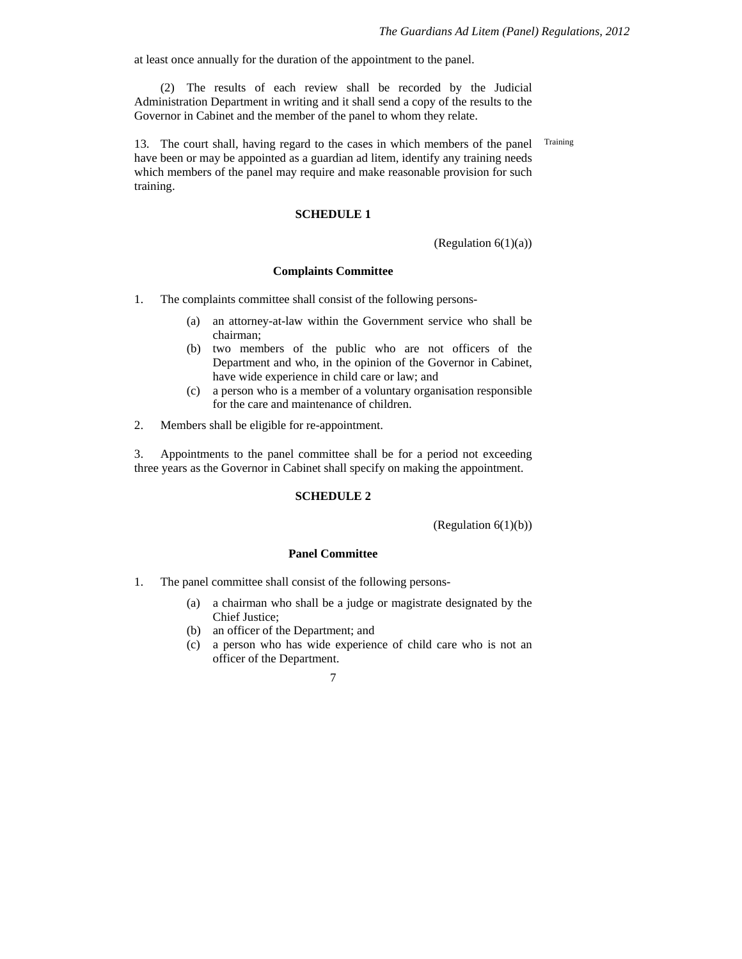at least once annually for the duration of the appointment to the panel.

(2) The results of each review shall be recorded by the Judicial Administration Department in writing and it shall send a copy of the results to the Governor in Cabinet and the member of the panel to whom they relate.

13. The court shall, having regard to the cases in which members of the panel have been or may be appointed as a guardian ad litem, identify any training needs which members of the panel may require and make reasonable provision for such training. Training

### **SCHEDULE 1**

(Regulation 6(1)(a))

#### **Complaints Committee**

- 1. The complaints committee shall consist of the following persons-
	- (a) an attorney-at-law within the Government service who shall be chairman;
	- (b) two members of the public who are not officers of the Department and who, in the opinion of the Governor in Cabinet, have wide experience in child care or law; and
	- (c) a person who is a member of a voluntary organisation responsible for the care and maintenance of children.

2. Members shall be eligible for re-appointment.

3. Appointments to the panel committee shall be for a period not exceeding three years as the Governor in Cabinet shall specify on making the appointment.

#### **SCHEDULE 2**

(Regulation 6(1)(b))

## **Panel Committee**

- 1. The panel committee shall consist of the following persons-
	- (a) a chairman who shall be a judge or magistrate designated by the Chief Justice;
	- (b) an officer of the Department; and
	- (c) a person who has wide experience of child care who is not an officer of the Department.